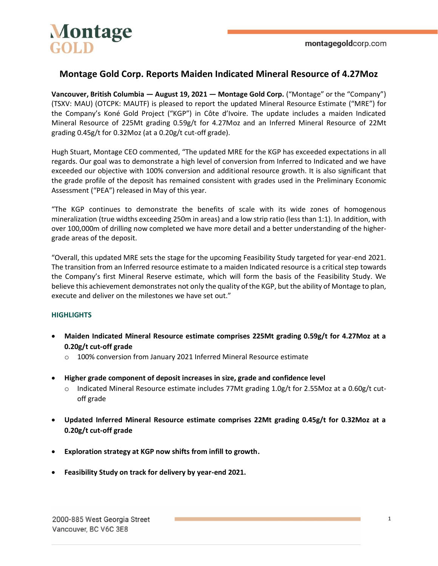

# **Montage Gold Corp. Reports Maiden Indicated Mineral Resource of 4.27Moz**

**Vancouver, British Columbia — August 19, 2021 — Montage Gold Corp.** ("Montage" or the "Company") (TSXV: MAU) (OTCPK: MAUTF) is pleased to report the updated Mineral Resource Estimate ("MRE") for the Company's Koné Gold Project ("KGP") in Côte d'Ivoire. The update includes a maiden Indicated Mineral Resource of 225Mt grading 0.59g/t for 4.27Moz and an Inferred Mineral Resource of 22Mt grading 0.45g/t for 0.32Moz (at a 0.20g/t cut-off grade).

Hugh Stuart, Montage CEO commented, "The updated MRE for the KGP has exceeded expectations in all regards. Our goal was to demonstrate a high level of conversion from Inferred to Indicated and we have exceeded our objective with 100% conversion and additional resource growth. It is also significant that the grade profile of the deposit has remained consistent with grades used in the Preliminary Economic Assessment ("PEA") released in May of this year.

"The KGP continues to demonstrate the benefits of scale with its wide zones of homogenous mineralization (true widths exceeding 250m in areas) and a low strip ratio (less than 1:1). In addition, with over 100,000m of drilling now completed we have more detail and a better understanding of the highergrade areas of the deposit.

"Overall, this updated MRE sets the stage for the upcoming Feasibility Study targeted for year-end 2021. The transition from an Inferred resource estimate to a maiden Indicated resource is a critical step towards the Company's first Mineral Reserve estimate, which will form the basis of the Feasibility Study. We believe this achievement demonstrates not only the quality of the KGP, but the ability of Montage to plan, execute and deliver on the milestones we have set out."

### **HIGHLIGHTS**

- **Maiden Indicated Mineral Resource estimate comprises 225Mt grading 0.59g/t for 4.27Moz at a 0.20g/t cut-off grade**
	- o 100% conversion from January 2021 Inferred Mineral Resource estimate
- **Higher grade component of deposit increases in size, grade and confidence level**
	- o Indicated Mineral Resource estimate includes 77Mt grading 1.0g/t for 2.55Moz at a 0.60g/t cutoff grade
- **Updated Inferred Mineral Resource estimate comprises 22Mt grading 0.45g/t for 0.32Moz at a 0.20g/t cut-off grade**
- **Exploration strategy at KGP now shifts from infill to growth.**
- **Feasibility Study on track for delivery by year-end 2021.**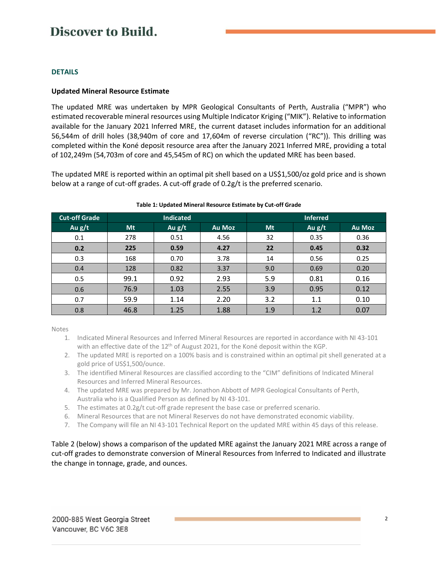### **DETAILS**

### **Updated Mineral Resource Estimate**

The updated MRE was undertaken by MPR Geological Consultants of Perth, Australia ("MPR") who estimated recoverable mineral resources using Multiple Indicator Kriging ("MIK"). Relative to information available for the January 2021 Inferred MRE, the current dataset includes information for an additional 56,544m of drill holes (38,940m of core and 17,604m of reverse circulation ("RC")). This drilling was completed within the Koné deposit resource area after the January 2021 Inferred MRE, providing a total of 102,249m (54,703m of core and 45,545m of RC) on which the updated MRE has been based.

The updated MRE is reported within an optimal pit shell based on a US\$1,500/oz gold price and is shown below at a range of cut-off grades. A cut-off grade of 0.2g/t is the preferred scenario.

| <b>Cut-off Grade</b> |      | <b>Indicated</b> |               | <b>Inferred</b> |          |               |  |
|----------------------|------|------------------|---------------|-----------------|----------|---------------|--|
| Au $g/t$             | Mt   | Au $g/t$         | <b>Au Moz</b> | Mt              | Au $g/t$ | <b>Au Moz</b> |  |
| 0.1                  | 278  | 0.51             | 4.56          | 32              | 0.35     | 0.36          |  |
| 0.2                  | 225  | 0.59             | 4.27          | 22              | 0.45     | 0.32          |  |
| 0.3                  | 168  | 0.70             | 3.78          | 14              | 0.56     | 0.25          |  |
| 0.4                  | 128  | 0.82             | 3.37          | 9.0             | 0.69     | 0.20          |  |
| 0.5                  | 99.1 | 0.92             | 2.93          | 5.9             | 0.81     | 0.16          |  |
| 0.6                  | 76.9 | 1.03             | 2.55          | 3.9             | 0.95     | 0.12          |  |
| 0.7                  | 59.9 | 1.14             | 2.20          | 3.2             | 1.1      | 0.10          |  |
| 0.8                  | 46.8 | 1.25             | 1.88          | 1.9             | 1.2      | 0.07          |  |

#### **Table 1: Updated Mineral Resource Estimate by Cut-off Grade**

Notes

- 1. Indicated Mineral Resources and Inferred Mineral Resources are reported in accordance with NI 43-101 with an effective date of the  $12<sup>th</sup>$  of August 2021, for the Koné deposit within the KGP.
- 2. The updated MRE is reported on a 100% basis and is constrained within an optimal pit shell generated at a gold price of US\$1,500/ounce.
- 3. The identified Mineral Resources are classified according to the "CIM" definitions of Indicated Mineral Resources and Inferred Mineral Resources.
- 4. The updated MRE was prepared by Mr. Jonathon Abbott of MPR Geological Consultants of Perth, Australia who is a Qualified Person as defined by NI 43-101.
- 5. The estimates at 0.2g/t cut-off grade represent the base case or preferred scenario.
- 6. Mineral Resources that are not Mineral Reserves do not have demonstrated economic viability.
- 7. The Company will file an NI 43-101 Technical Report on the updated MRE within 45 days of this release.

Table 2 (below) shows a comparison of the updated MRE against the January 2021 MRE across a range of cut-off grades to demonstrate conversion of Mineral Resources from Inferred to Indicated and illustrate the change in tonnage, grade, and ounces.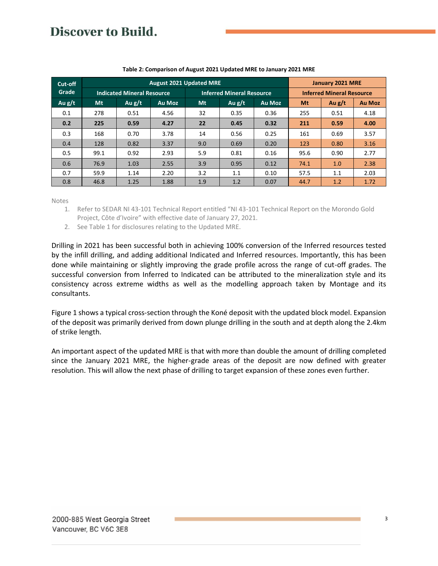| Cut-off  | <b>August 2021 Updated MRE</b>    |          |        |                                  |          |               |                                  | <b>January 2021 MRE</b> |               |  |
|----------|-----------------------------------|----------|--------|----------------------------------|----------|---------------|----------------------------------|-------------------------|---------------|--|
| Grade    | <b>Indicated Mineral Resource</b> |          |        | <b>Inferred Mineral Resource</b> |          |               | <b>Inferred Mineral Resource</b> |                         |               |  |
| Au $g/t$ | Mt                                | Au $g/t$ | Au Moz | Mt                               | Au $g/t$ | <b>Au Moz</b> | Mt                               | Au $g/t$                | <b>Au Moz</b> |  |
| 0.1      | 278                               | 0.51     | 4.56   | 32                               | 0.35     | 0.36          | 255                              | 0.51                    | 4.18          |  |
| 0.2      | 225                               | 0.59     | 4.27   | 22                               | 0.45     | 0.32          | 211                              | 0.59                    | 4.00          |  |
| 0.3      | 168                               | 0.70     | 3.78   | 14                               | 0.56     | 0.25          | 161                              | 0.69                    | 3.57          |  |
| 0.4      | 128                               | 0.82     | 3.37   | 9.0                              | 0.69     | 0.20          | 123                              | 0.80                    | 3.16          |  |
| 0.5      | 99.1                              | 0.92     | 2.93   | 5.9                              | 0.81     | 0.16          | 95.6                             | 0.90                    | 2.77          |  |
| 0.6      | 76.9                              | 1.03     | 2.55   | 3.9                              | 0.95     | 0.12          | 74.1                             | 1.0                     | 2.38          |  |
| 0.7      | 59.9                              | 1.14     | 2.20   | 3.2                              | 1.1      | 0.10          | 57.5                             | 1.1                     | 2.03          |  |
| 0.8      | 46.8                              | 1.25     | 1.88   | 1.9                              | 1.2      | 0.07          | 44.7                             | 1.2                     | 1.72          |  |

#### **Table 2: Comparison of August 2021 Updated MRE to January 2021 MRE**

Notes

- 1. Refer to SEDAR NI 43-101 Technical Report entitled "NI 43-101 Technical Report on the Morondo Gold Project, Côte d'Ivoire" with effective date of January 27, 2021.
- 2. See Table 1 for disclosures relating to the Updated MRE.

Drilling in 2021 has been successful both in achieving 100% conversion of the Inferred resources tested by the infill drilling, and adding additional Indicated and Inferred resources. Importantly, this has been done while maintaining or slightly improving the grade profile across the range of cut-off grades. The successful conversion from Inferred to Indicated can be attributed to the mineralization style and its consistency across extreme widths as well as the modelling approach taken by Montage and its consultants.

Figure 1 shows a typical cross-section through the Koné deposit with the updated block model. Expansion of the deposit was primarily derived from down plunge drilling in the south and at depth along the 2.4km of strike length.

An important aspect of the updated MRE is that with more than double the amount of drilling completed since the January 2021 MRE, the higher-grade areas of the deposit are now defined with greater resolution. This will allow the next phase of drilling to target expansion of these zones even further.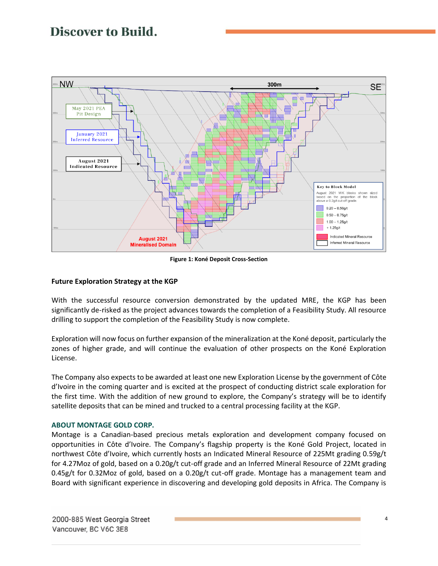

**Figure 1: Koné Deposit Cross-Section**

## **Future Exploration Strategy at the KGP**

With the successful resource conversion demonstrated by the updated MRE, the KGP has been significantly de-risked as the project advances towards the completion of a Feasibility Study. All resource drilling to support the completion of the Feasibility Study is now complete.

Exploration will now focus on further expansion of the mineralization at the Koné deposit, particularly the zones of higher grade, and will continue the evaluation of other prospects on the Koné Exploration License.

The Company also expects to be awarded at least one new Exploration License by the government of Côte d'Ivoire in the coming quarter and is excited at the prospect of conducting district scale exploration for the first time. With the addition of new ground to explore, the Company's strategy will be to identify satellite deposits that can be mined and trucked to a central processing facility at the KGP.

### **ABOUT MONTAGE GOLD CORP.**

Montage is a Canadian-based precious metals exploration and development company focused on opportunities in Côte d'Ivoire. The Company's flagship property is the Koné Gold Project, located in northwest Côte d'Ivoire, which currently hosts an Indicated Mineral Resource of 225Mt grading 0.59g/t for 4.27Moz of gold, based on a 0.20g/t cut-off grade and an Inferred Mineral Resource of 22Mt grading 0.45g/t for 0.32Moz of gold, based on a 0.20g/t cut-off grade. Montage has a management team and Board with significant experience in discovering and developing gold deposits in Africa. The Company is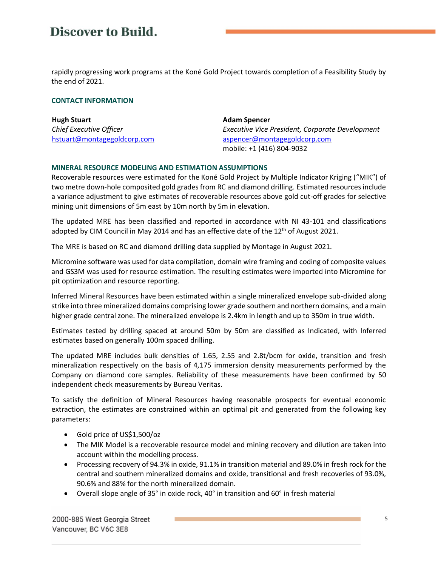rapidly progressing work programs at the Koné Gold Project towards completion of a Feasibility Study by the end of 2021.

#### **CONTACT INFORMATION**

| <b>Hugh Stuart</b>          | <b>Adam Spencer</b>                             |
|-----------------------------|-------------------------------------------------|
| Chief Executive Officer     | Executive Vice President, Corporate Development |
| hstuart@montagegoldcorp.com | aspencer@montagegoldcorp.com                    |
|                             | mobile: +1 (416) 804-9032                       |

### **MINERAL RESOURCE MODELING AND ESTIMATION ASSUMPTIONS**

Recoverable resources were estimated for the Koné Gold Project by Multiple Indicator Kriging ("MIK") of two metre down-hole composited gold grades from RC and diamond drilling. Estimated resources include a variance adjustment to give estimates of recoverable resources above gold cut-off grades for selective mining unit dimensions of 5m east by 10m north by 5m in elevation.

The updated MRE has been classified and reported in accordance with NI 43-101 and classifications adopted by CIM Council in May 2014 and has an effective date of the 12<sup>th</sup> of August 2021.

The MRE is based on RC and diamond drilling data supplied by Montage in August 2021.

Micromine software was used for data compilation, domain wire framing and coding of composite values and GS3M was used for resource estimation. The resulting estimates were imported into Micromine for pit optimization and resource reporting.

Inferred Mineral Resources have been estimated within a single mineralized envelope sub-divided along strike into three mineralized domains comprising lower grade southern and northern domains, and a main higher grade central zone. The mineralized envelope is 2.4km in length and up to 350m in true width.

Estimates tested by drilling spaced at around 50m by 50m are classified as Indicated, with Inferred estimates based on generally 100m spaced drilling.

The updated MRE includes bulk densities of 1.65, 2.55 and 2.8t/bcm for oxide, transition and fresh mineralization respectively on the basis of 4,175 immersion density measurements performed by the Company on diamond core samples. Reliability of these measurements have been confirmed by 50 independent check measurements by Bureau Veritas.

To satisfy the definition of Mineral Resources having reasonable prospects for eventual economic extraction, the estimates are constrained within an optimal pit and generated from the following key parameters:

- Gold price of US\$1,500/oz
- The MIK Model is a recoverable resource model and mining recovery and dilution are taken into account within the modelling process.
- Processing recovery of 94.3% in oxide, 91.1% in transition material and 89.0% in fresh rock for the central and southern mineralized domains and oxide, transitional and fresh recoveries of 93.0%, 90.6% and 88% for the north mineralized domain.
- Overall slope angle of 35° in oxide rock, 40° in transition and 60° in fresh material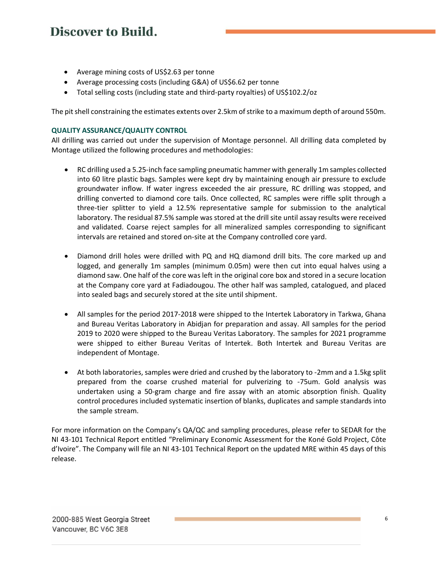- Average mining costs of US\$2.63 per tonne
- Average processing costs (including G&A) of US\$6.62 per tonne
- Total selling costs (including state and third-party royalties) of US\$102.2/oz

The pit shell constraining the estimates extents over 2.5km of strike to a maximum depth of around 550m.

### **QUALITY ASSURANCE/QUALITY CONTROL**

All drilling was carried out under the supervision of Montage personnel. All drilling data completed by Montage utilized the following procedures and methodologies:

- RC drilling used a 5.25-inch face sampling pneumatic hammer with generally 1m samples collected into 60 litre plastic bags. Samples were kept dry by maintaining enough air pressure to exclude groundwater inflow. If water ingress exceeded the air pressure, RC drilling was stopped, and drilling converted to diamond core tails. Once collected, RC samples were riffle split through a three-tier splitter to yield a 12.5% representative sample for submission to the analytical laboratory. The residual 87.5% sample was stored at the drill site until assay results were received and validated. Coarse reject samples for all mineralized samples corresponding to significant intervals are retained and stored on-site at the Company controlled core yard.
- Diamond drill holes were drilled with PQ and HQ diamond drill bits. The core marked up and logged, and generally 1m samples (minimum 0.05m) were then cut into equal halves using a diamond saw. One half of the core was left in the original core box and stored in a secure location at the Company core yard at Fadiadougou. The other half was sampled, catalogued, and placed into sealed bags and securely stored at the site until shipment.
- All samples for the period 2017-2018 were shipped to the Intertek Laboratory in Tarkwa, Ghana and Bureau Veritas Laboratory in Abidjan for preparation and assay. All samples for the period 2019 to 2020 were shipped to the Bureau Veritas Laboratory. The samples for 2021 programme were shipped to either Bureau Veritas of Intertek. Both Intertek and Bureau Veritas are independent of Montage.
- At both laboratories, samples were dried and crushed by the laboratory to -2mm and a 1.5kg split prepared from the coarse crushed material for pulverizing to -75um. Gold analysis was undertaken using a 50-gram charge and fire assay with an atomic absorption finish. Quality control procedures included systematic insertion of blanks, duplicates and sample standards into the sample stream.

For more information on the Company's QA/QC and sampling procedures, please refer to SEDAR for the NI 43-101 Technical Report entitled "Preliminary Economic Assessment for the Koné Gold Project, Côte d'Ivoire". The Company will file an NI 43-101 Technical Report on the updated MRE within 45 days of this release.